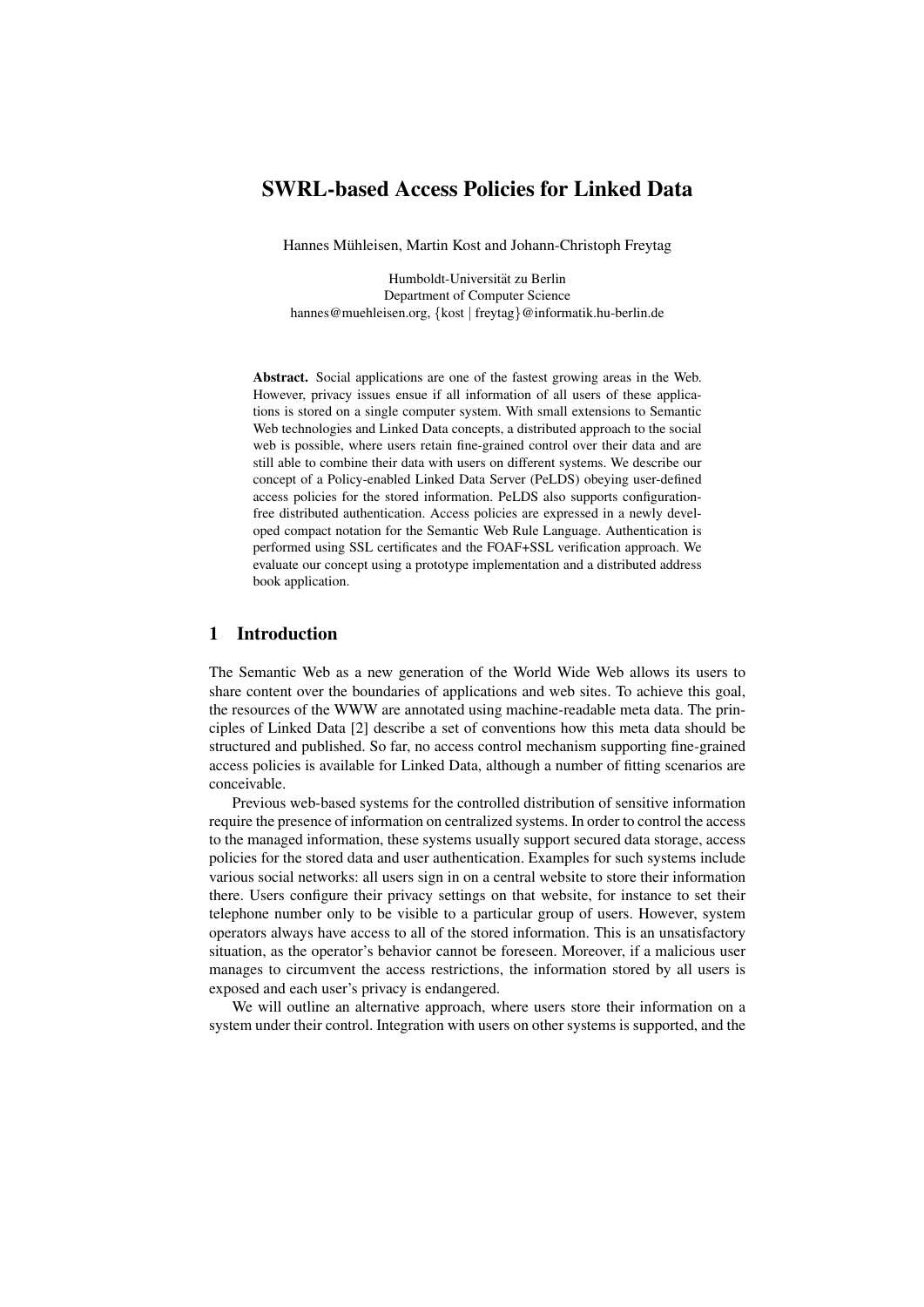# SWRL-based Access Policies for Linked Data

Hannes Mühleisen, Martin Kost and Johann-Christoph Freytag

Humboldt-Universitat zu Berlin ¨ Department of Computer Science hannes@muehleisen.org, {kost | freytag}@informatik.hu-berlin.de

Abstract. Social applications are one of the fastest growing areas in the Web. However, privacy issues ensue if all information of all users of these applications is stored on a single computer system. With small extensions to Semantic Web technologies and Linked Data concepts, a distributed approach to the social web is possible, where users retain fine-grained control over their data and are still able to combine their data with users on different systems. We describe our concept of a Policy-enabled Linked Data Server (PeLDS) obeying user-defined access policies for the stored information. PeLDS also supports configurationfree distributed authentication. Access policies are expressed in a newly developed compact notation for the Semantic Web Rule Language. Authentication is performed using SSL certificates and the FOAF+SSL verification approach. We evaluate our concept using a prototype implementation and a distributed address book application.

## 1 Introduction

The Semantic Web as a new generation of the World Wide Web allows its users to share content over the boundaries of applications and web sites. To achieve this goal, the resources of the WWW are annotated using machine-readable meta data. The principles of Linked Data [2] describe a set of conventions how this meta data should be structured and published. So far, no access control mechanism supporting fine-grained access policies is available for Linked Data, although a number of fitting scenarios are conceivable.

Previous web-based systems for the controlled distribution of sensitive information require the presence of information on centralized systems. In order to control the access to the managed information, these systems usually support secured data storage, access policies for the stored data and user authentication. Examples for such systems include various social networks: all users sign in on a central website to store their information there. Users configure their privacy settings on that website, for instance to set their telephone number only to be visible to a particular group of users. However, system operators always have access to all of the stored information. This is an unsatisfactory situation, as the operator's behavior cannot be foreseen. Moreover, if a malicious user manages to circumvent the access restrictions, the information stored by all users is exposed and each user's privacy is endangered.

We will outline an alternative approach, where users store their information on a system under their control. Integration with users on other systems is supported, and the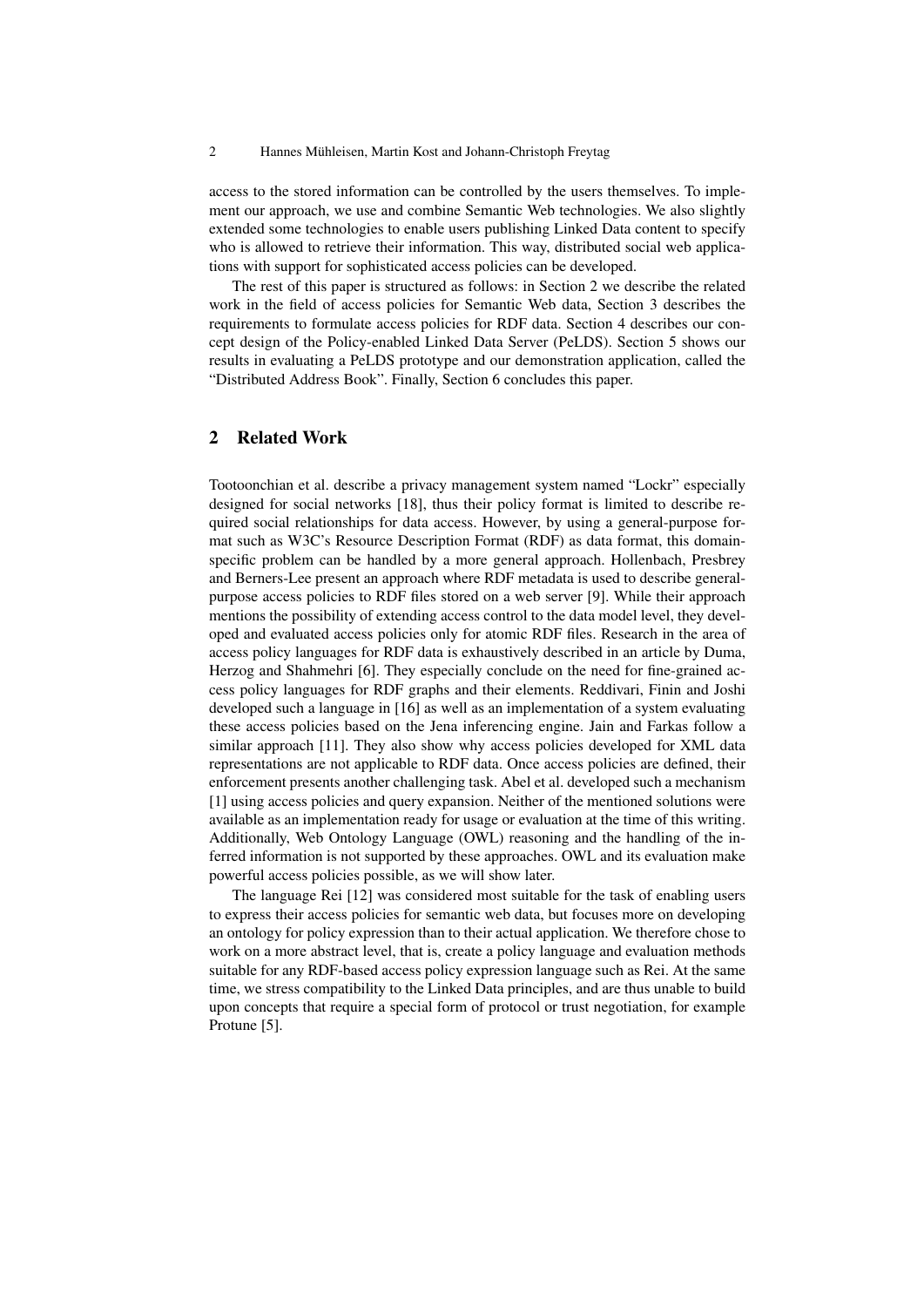access to the stored information can be controlled by the users themselves. To implement our approach, we use and combine Semantic Web technologies. We also slightly extended some technologies to enable users publishing Linked Data content to specify who is allowed to retrieve their information. This way, distributed social web applications with support for sophisticated access policies can be developed.

The rest of this paper is structured as follows: in Section 2 we describe the related work in the field of access policies for Semantic Web data, Section 3 describes the requirements to formulate access policies for RDF data. Section 4 describes our concept design of the Policy-enabled Linked Data Server (PeLDS). Section 5 shows our results in evaluating a PeLDS prototype and our demonstration application, called the "Distributed Address Book". Finally, Section 6 concludes this paper.

## 2 Related Work

Tootoonchian et al. describe a privacy management system named "Lockr" especially designed for social networks [18], thus their policy format is limited to describe required social relationships for data access. However, by using a general-purpose format such as W3C's Resource Description Format (RDF) as data format, this domainspecific problem can be handled by a more general approach. Hollenbach, Presbrey and Berners-Lee present an approach where RDF metadata is used to describe generalpurpose access policies to RDF files stored on a web server [9]. While their approach mentions the possibility of extending access control to the data model level, they developed and evaluated access policies only for atomic RDF files. Research in the area of access policy languages for RDF data is exhaustively described in an article by Duma, Herzog and Shahmehri [6]. They especially conclude on the need for fine-grained access policy languages for RDF graphs and their elements. Reddivari, Finin and Joshi developed such a language in [16] as well as an implementation of a system evaluating these access policies based on the Jena inferencing engine. Jain and Farkas follow a similar approach [11]. They also show why access policies developed for XML data representations are not applicable to RDF data. Once access policies are defined, their enforcement presents another challenging task. Abel et al. developed such a mechanism [1] using access policies and query expansion. Neither of the mentioned solutions were available as an implementation ready for usage or evaluation at the time of this writing. Additionally, Web Ontology Language (OWL) reasoning and the handling of the inferred information is not supported by these approaches. OWL and its evaluation make powerful access policies possible, as we will show later.

The language Rei [12] was considered most suitable for the task of enabling users to express their access policies for semantic web data, but focuses more on developing an ontology for policy expression than to their actual application. We therefore chose to work on a more abstract level, that is, create a policy language and evaluation methods suitable for any RDF-based access policy expression language such as Rei. At the same time, we stress compatibility to the Linked Data principles, and are thus unable to build upon concepts that require a special form of protocol or trust negotiation, for example Protune [5].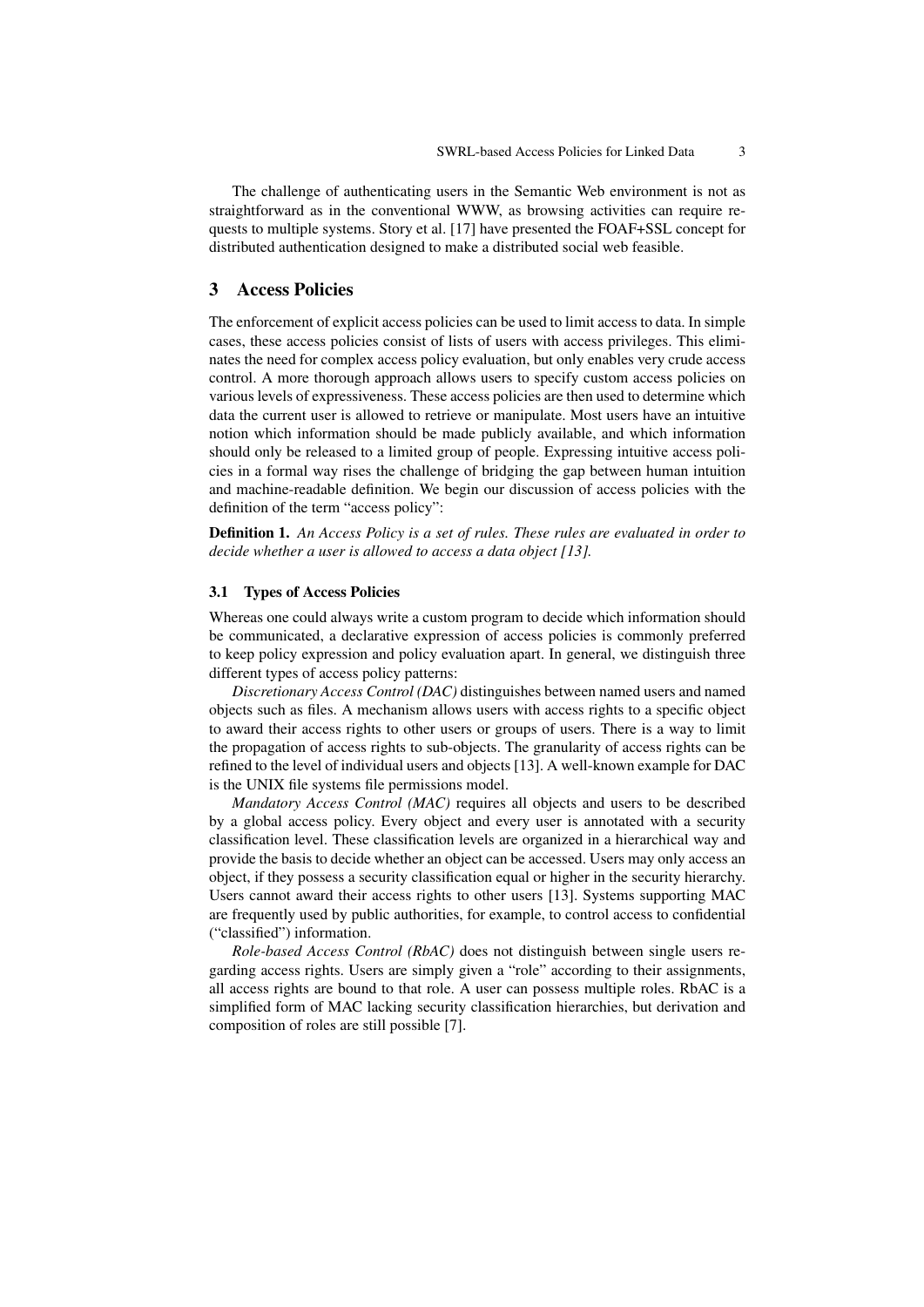The challenge of authenticating users in the Semantic Web environment is not as straightforward as in the conventional WWW, as browsing activities can require requests to multiple systems. Story et al. [17] have presented the FOAF+SSL concept for distributed authentication designed to make a distributed social web feasible.

## 3 Access Policies

The enforcement of explicit access policies can be used to limit access to data. In simple cases, these access policies consist of lists of users with access privileges. This eliminates the need for complex access policy evaluation, but only enables very crude access control. A more thorough approach allows users to specify custom access policies on various levels of expressiveness. These access policies are then used to determine which data the current user is allowed to retrieve or manipulate. Most users have an intuitive notion which information should be made publicly available, and which information should only be released to a limited group of people. Expressing intuitive access policies in a formal way rises the challenge of bridging the gap between human intuition and machine-readable definition. We begin our discussion of access policies with the definition of the term "access policy":

Definition 1. *An Access Policy is a set of rules. These rules are evaluated in order to decide whether a user is allowed to access a data object [13].*

#### 3.1 Types of Access Policies

Whereas one could always write a custom program to decide which information should be communicated, a declarative expression of access policies is commonly preferred to keep policy expression and policy evaluation apart. In general, we distinguish three different types of access policy patterns:

*Discretionary Access Control (DAC)* distinguishes between named users and named objects such as files. A mechanism allows users with access rights to a specific object to award their access rights to other users or groups of users. There is a way to limit the propagation of access rights to sub-objects. The granularity of access rights can be refined to the level of individual users and objects [13]. A well-known example for DAC is the UNIX file systems file permissions model.

*Mandatory Access Control (MAC)* requires all objects and users to be described by a global access policy. Every object and every user is annotated with a security classification level. These classification levels are organized in a hierarchical way and provide the basis to decide whether an object can be accessed. Users may only access an object, if they possess a security classification equal or higher in the security hierarchy. Users cannot award their access rights to other users [13]. Systems supporting MAC are frequently used by public authorities, for example, to control access to confidential ("classified") information.

*Role-based Access Control (RbAC)* does not distinguish between single users regarding access rights. Users are simply given a "role" according to their assignments, all access rights are bound to that role. A user can possess multiple roles. RbAC is a simplified form of MAC lacking security classification hierarchies, but derivation and composition of roles are still possible [7].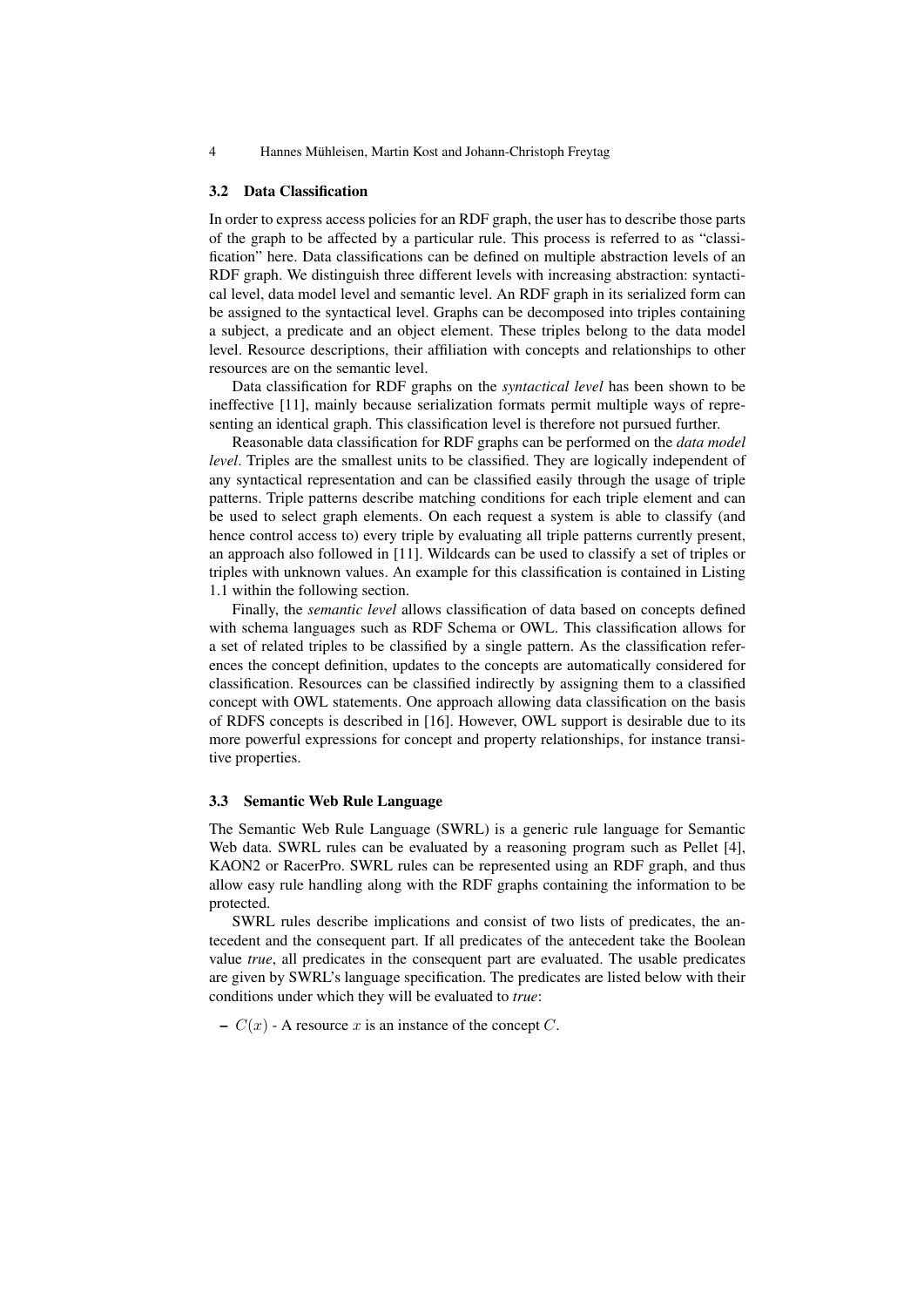#### 3.2 Data Classification

In order to express access policies for an RDF graph, the user has to describe those parts of the graph to be affected by a particular rule. This process is referred to as "classification" here. Data classifications can be defined on multiple abstraction levels of an RDF graph. We distinguish three different levels with increasing abstraction: syntactical level, data model level and semantic level. An RDF graph in its serialized form can be assigned to the syntactical level. Graphs can be decomposed into triples containing a subject, a predicate and an object element. These triples belong to the data model level. Resource descriptions, their affiliation with concepts and relationships to other resources are on the semantic level.

Data classification for RDF graphs on the *syntactical level* has been shown to be ineffective [11], mainly because serialization formats permit multiple ways of representing an identical graph. This classification level is therefore not pursued further.

Reasonable data classification for RDF graphs can be performed on the *data model level*. Triples are the smallest units to be classified. They are logically independent of any syntactical representation and can be classified easily through the usage of triple patterns. Triple patterns describe matching conditions for each triple element and can be used to select graph elements. On each request a system is able to classify (and hence control access to) every triple by evaluating all triple patterns currently present, an approach also followed in [11]. Wildcards can be used to classify a set of triples or triples with unknown values. An example for this classification is contained in Listing 1.1 within the following section.

Finally, the *semantic level* allows classification of data based on concepts defined with schema languages such as RDF Schema or OWL. This classification allows for a set of related triples to be classified by a single pattern. As the classification references the concept definition, updates to the concepts are automatically considered for classification. Resources can be classified indirectly by assigning them to a classified concept with OWL statements. One approach allowing data classification on the basis of RDFS concepts is described in [16]. However, OWL support is desirable due to its more powerful expressions for concept and property relationships, for instance transitive properties.

#### 3.3 Semantic Web Rule Language

The Semantic Web Rule Language (SWRL) is a generic rule language for Semantic Web data. SWRL rules can be evaluated by a reasoning program such as Pellet [4], KAON2 or RacerPro. SWRL rules can be represented using an RDF graph, and thus allow easy rule handling along with the RDF graphs containing the information to be protected.

SWRL rules describe implications and consist of two lists of predicates, the antecedent and the consequent part. If all predicates of the antecedent take the Boolean value *true*, all predicates in the consequent part are evaluated. The usable predicates are given by SWRL's language specification. The predicates are listed below with their conditions under which they will be evaluated to *true*:

–  $C(x)$  - A resource x is an instance of the concept C.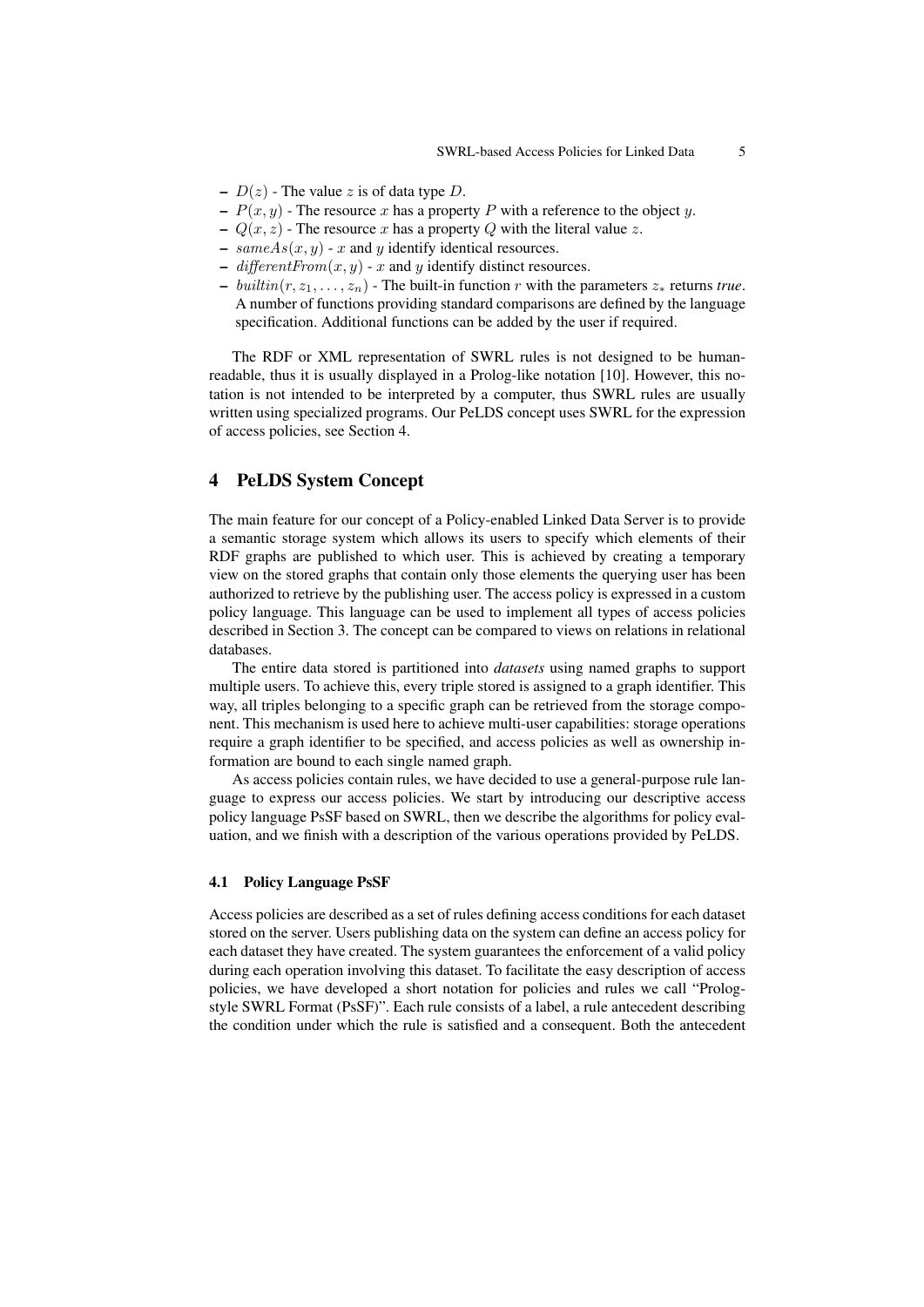- $D(z)$  The value z is of data type D.
- $P(x, y)$  The resource x has a property P with a reference to the object y.
- $Q(x, z)$  The resource x has a property Q with the literal value z.
- $sameAs(x, y)$  x and y identify identical resources.
- different  $From(x, y)$  x and y identify distinct resources.
- $-$  *builtin*( $r, z_1, \ldots, z_n$ ) The built-in function  $r$  with the parameters  $z_*$  returns *true*. A number of functions providing standard comparisons are defined by the language specification. Additional functions can be added by the user if required.

The RDF or XML representation of SWRL rules is not designed to be humanreadable, thus it is usually displayed in a Prolog-like notation [10]. However, this notation is not intended to be interpreted by a computer, thus SWRL rules are usually written using specialized programs. Our PeLDS concept uses SWRL for the expression of access policies, see Section 4.

## 4 PeLDS System Concept

The main feature for our concept of a Policy-enabled Linked Data Server is to provide a semantic storage system which allows its users to specify which elements of their RDF graphs are published to which user. This is achieved by creating a temporary view on the stored graphs that contain only those elements the querying user has been authorized to retrieve by the publishing user. The access policy is expressed in a custom policy language. This language can be used to implement all types of access policies described in Section 3. The concept can be compared to views on relations in relational databases.

The entire data stored is partitioned into *datasets* using named graphs to support multiple users. To achieve this, every triple stored is assigned to a graph identifier. This way, all triples belonging to a specific graph can be retrieved from the storage component. This mechanism is used here to achieve multi-user capabilities: storage operations require a graph identifier to be specified, and access policies as well as ownership information are bound to each single named graph.

As access policies contain rules, we have decided to use a general-purpose rule language to express our access policies. We start by introducing our descriptive access policy language PsSF based on SWRL, then we describe the algorithms for policy evaluation, and we finish with a description of the various operations provided by PeLDS.

#### 4.1 Policy Language PsSF

Access policies are described as a set of rules defining access conditions for each dataset stored on the server. Users publishing data on the system can define an access policy for each dataset they have created. The system guarantees the enforcement of a valid policy during each operation involving this dataset. To facilitate the easy description of access policies, we have developed a short notation for policies and rules we call "Prologstyle SWRL Format (PsSF)". Each rule consists of a label, a rule antecedent describing the condition under which the rule is satisfied and a consequent. Both the antecedent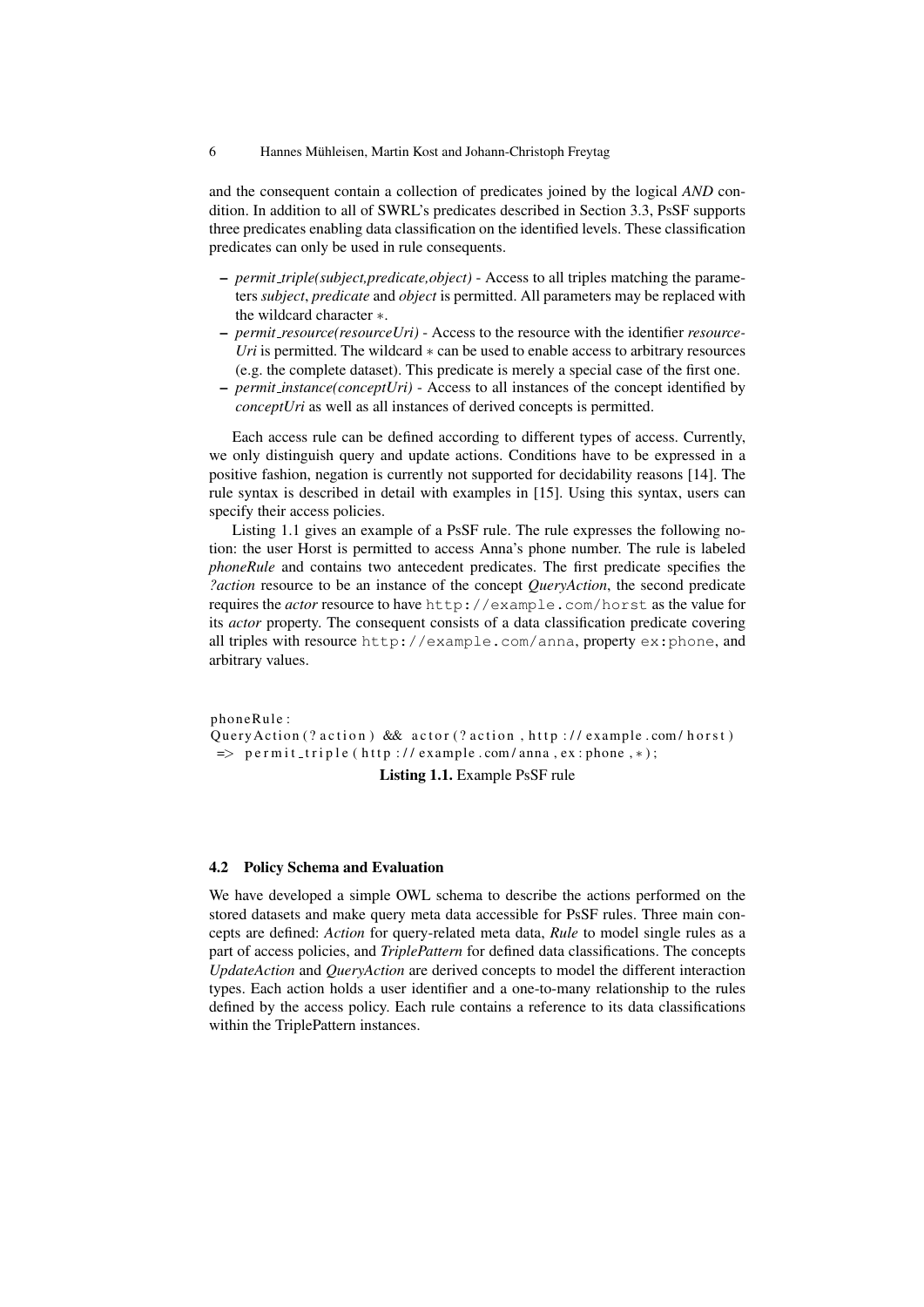and the consequent contain a collection of predicates joined by the logical *AND* condition. In addition to all of SWRL's predicates described in Section 3.3, PsSF supports three predicates enabling data classification on the identified levels. These classification predicates can only be used in rule consequents.

- *permit triple(subject,predicate,object)* Access to all triples matching the parameters *subject*, *predicate* and *object* is permitted. All parameters may be replaced with the wildcard character ∗.
- *permit resource(resourceUri)* Access to the resource with the identifier *resource-Uri* is permitted. The wildcard ∗ can be used to enable access to arbitrary resources (e.g. the complete dataset). This predicate is merely a special case of the first one.
- *permit instance(conceptUri)* Access to all instances of the concept identified by *conceptUri* as well as all instances of derived concepts is permitted.

Each access rule can be defined according to different types of access. Currently, we only distinguish query and update actions. Conditions have to be expressed in a positive fashion, negation is currently not supported for decidability reasons [14]. The rule syntax is described in detail with examples in [15]. Using this syntax, users can specify their access policies.

Listing 1.1 gives an example of a PsSF rule. The rule expresses the following notion: the user Horst is permitted to access Anna's phone number. The rule is labeled *phoneRule* and contains two antecedent predicates. The first predicate specifies the *?action* resource to be an instance of the concept *QueryAction*, the second predicate requires the *actor* resource to have http://example.com/horst as the value for its *actor* property. The consequent consists of a data classification predicate covering all triples with resource http://example.com/anna, property ex:phone, and arbitrary values.

phoneRule: QueryAction (? action) && actor (? action, http://example.com/horst)  $\Rightarrow$  p e r m it\_triple (http://example.com/anna,ex:phone,\*);

#### Listing 1.1. Example PsSF rule

#### 4.2 Policy Schema and Evaluation

We have developed a simple OWL schema to describe the actions performed on the stored datasets and make query meta data accessible for PsSF rules. Three main concepts are defined: *Action* for query-related meta data, *Rule* to model single rules as a part of access policies, and *TriplePattern* for defined data classifications. The concepts *UpdateAction* and *QueryAction* are derived concepts to model the different interaction types. Each action holds a user identifier and a one-to-many relationship to the rules defined by the access policy. Each rule contains a reference to its data classifications within the TriplePattern instances.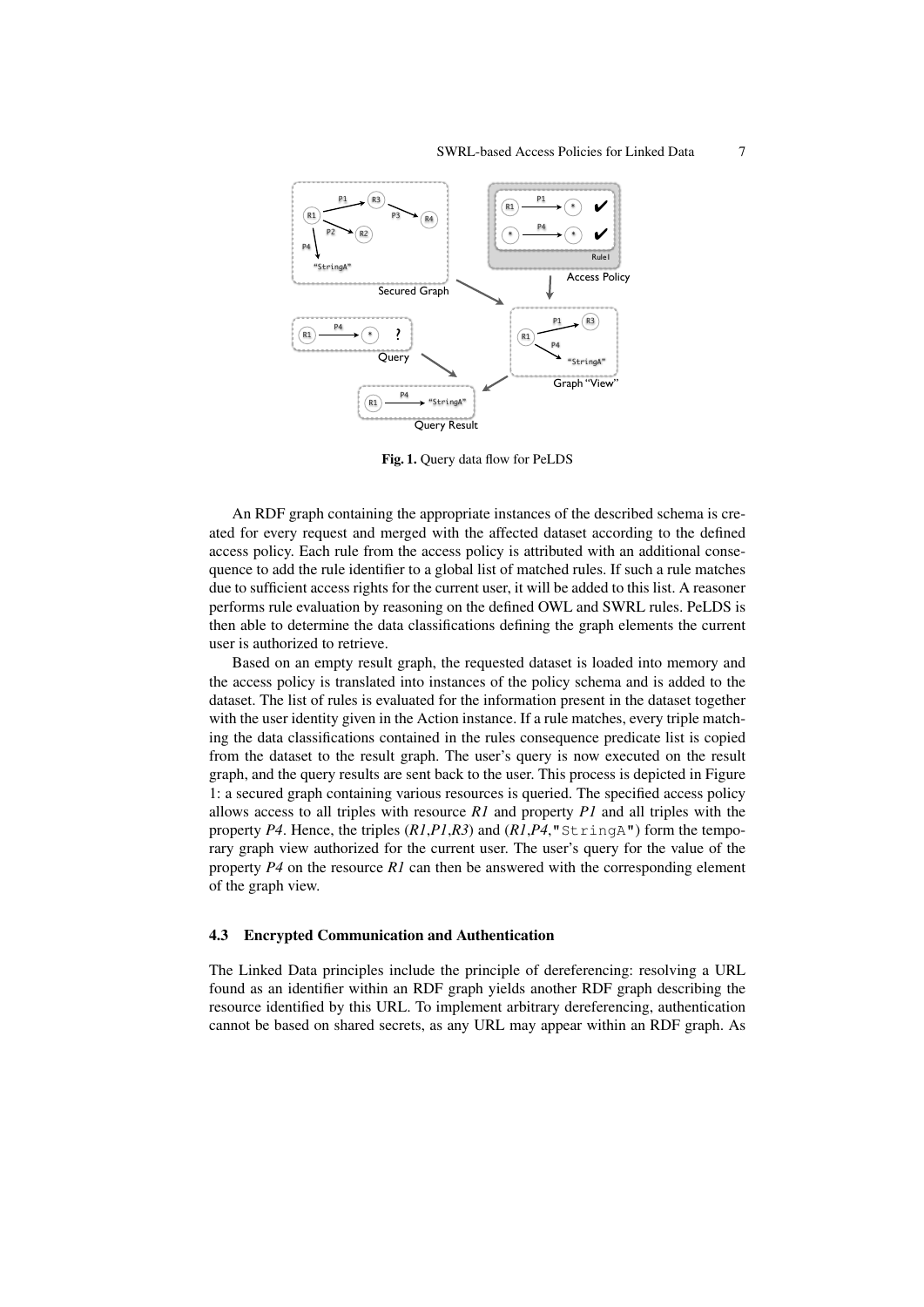

Fig. 1. Query data flow for PeLDS

An RDF graph containing the appropriate instances of the described schema is created for every request and merged with the affected dataset according to the defined access policy. Each rule from the access policy is attributed with an additional consequence to add the rule identifier to a global list of matched rules. If such a rule matches due to sufficient access rights for the current user, it will be added to this list. A reasoner performs rule evaluation by reasoning on the defined OWL and SWRL rules. PeLDS is then able to determine the data classifications defining the graph elements the current user is authorized to retrieve.

Based on an empty result graph, the requested dataset is loaded into memory and the access policy is translated into instances of the policy schema and is added to the dataset. The list of rules is evaluated for the information present in the dataset together with the user identity given in the Action instance. If a rule matches, every triple matching the data classifications contained in the rules consequence predicate list is copied from the dataset to the result graph. The user's query is now executed on the result graph, and the query results are sent back to the user. This process is depicted in Figure 1: a secured graph containing various resources is queried. The specified access policy allows access to all triples with resource *R1* and property *P1* and all triples with the property *P4*. Hence, the triples (*R1*,*P1*,*R3*) and (*R1*,*P4*,"StringA") form the temporary graph view authorized for the current user. The user's query for the value of the property *P4* on the resource *R1* can then be answered with the corresponding element of the graph view.

#### 4.3 Encrypted Communication and Authentication

The Linked Data principles include the principle of dereferencing: resolving a URL found as an identifier within an RDF graph yields another RDF graph describing the resource identified by this URL. To implement arbitrary dereferencing, authentication cannot be based on shared secrets, as any URL may appear within an RDF graph. As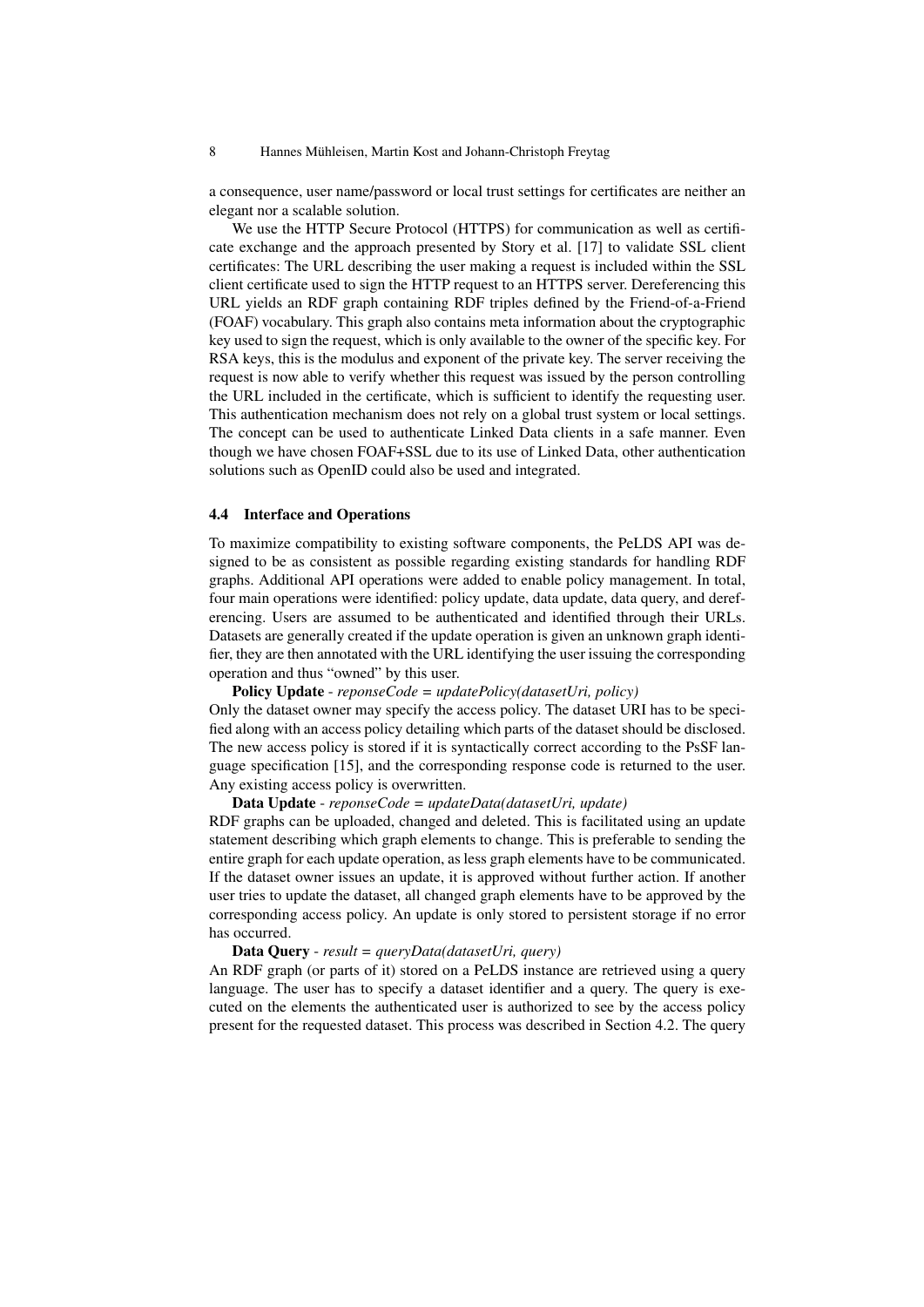a consequence, user name/password or local trust settings for certificates are neither an elegant nor a scalable solution.

We use the HTTP Secure Protocol (HTTPS) for communication as well as certificate exchange and the approach presented by Story et al. [17] to validate SSL client certificates: The URL describing the user making a request is included within the SSL client certificate used to sign the HTTP request to an HTTPS server. Dereferencing this URL yields an RDF graph containing RDF triples defined by the Friend-of-a-Friend (FOAF) vocabulary. This graph also contains meta information about the cryptographic key used to sign the request, which is only available to the owner of the specific key. For RSA keys, this is the modulus and exponent of the private key. The server receiving the request is now able to verify whether this request was issued by the person controlling the URL included in the certificate, which is sufficient to identify the requesting user. This authentication mechanism does not rely on a global trust system or local settings. The concept can be used to authenticate Linked Data clients in a safe manner. Even though we have chosen FOAF+SSL due to its use of Linked Data, other authentication solutions such as OpenID could also be used and integrated.

#### 4.4 Interface and Operations

To maximize compatibility to existing software components, the PeLDS API was designed to be as consistent as possible regarding existing standards for handling RDF graphs. Additional API operations were added to enable policy management. In total, four main operations were identified: policy update, data update, data query, and dereferencing. Users are assumed to be authenticated and identified through their URLs. Datasets are generally created if the update operation is given an unknown graph identifier, they are then annotated with the URL identifying the user issuing the corresponding operation and thus "owned" by this user.

Policy Update - *reponseCode = updatePolicy(datasetUri, policy)*

Only the dataset owner may specify the access policy. The dataset URI has to be specified along with an access policy detailing which parts of the dataset should be disclosed. The new access policy is stored if it is syntactically correct according to the PsSF language specification [15], and the corresponding response code is returned to the user. Any existing access policy is overwritten.

## Data Update - *reponseCode = updateData(datasetUri, update)*

RDF graphs can be uploaded, changed and deleted. This is facilitated using an update statement describing which graph elements to change. This is preferable to sending the entire graph for each update operation, as less graph elements have to be communicated. If the dataset owner issues an update, it is approved without further action. If another user tries to update the dataset, all changed graph elements have to be approved by the corresponding access policy. An update is only stored to persistent storage if no error has occurred.

### Data Query - *result = queryData(datasetUri, query)*

An RDF graph (or parts of it) stored on a PeLDS instance are retrieved using a query language. The user has to specify a dataset identifier and a query. The query is executed on the elements the authenticated user is authorized to see by the access policy present for the requested dataset. This process was described in Section 4.2. The query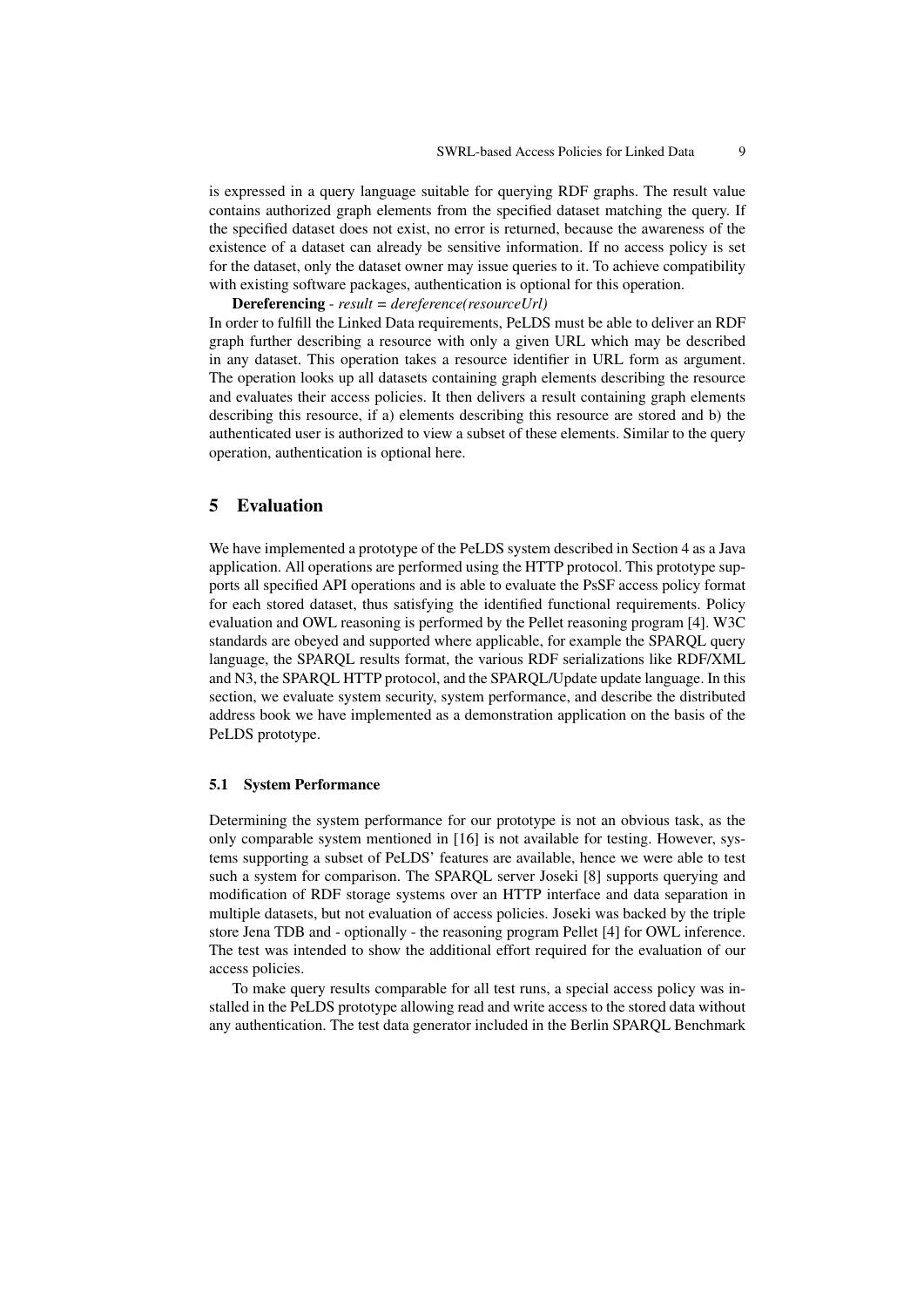is expressed in a query language suitable for querying RDF graphs. The result value contains authorized graph elements from the specified dataset matching the query. If the specified dataset does not exist, no error is returned, because the awareness of the existence of a dataset can already be sensitive information. If no access policy is set for the dataset, only the dataset owner may issue queries to it. To achieve compatibility with existing software packages, authentication is optional for this operation.

Dereferencing - *result = dereference(resourceUrl)* In order to fulfill the Linked Data requirements, PeLDS must be able to deliver an RDF graph further describing a resource with only a given URL which may be described in any dataset. This operation takes a resource identifier in URL form as argument. The operation looks up all datasets containing graph elements describing the resource and evaluates their access policies. It then delivers a result containing graph elements describing this resource, if a) elements describing this resource are stored and b) the authenticated user is authorized to view a subset of these elements. Similar to the query operation, authentication is optional here.

## 5 Evaluation

We have implemented a prototype of the PeLDS system described in Section 4 as a Java application. All operations are performed using the HTTP protocol. This prototype supports all specified API operations and is able to evaluate the PsSF access policy format for each stored dataset, thus satisfying the identified functional requirements. Policy evaluation and OWL reasoning is performed by the Pellet reasoning program [4]. W3C standards are obeyed and supported where applicable, for example the SPARQL query language, the SPARQL results format, the various RDF serializations like RDF/XML and N3, the SPARQL HTTP protocol, and the SPARQL/Update update language. In this section, we evaluate system security, system performance, and describe the distributed address book we have implemented as a demonstration application on the basis of the PeLDS prototype.

#### 5.1 System Performance

Determining the system performance for our prototype is not an obvious task, as the only comparable system mentioned in [16] is not available for testing. However, systems supporting a subset of PeLDS' features are available, hence we were able to test such a system for comparison. The SPARQL server Joseki [8] supports querying and modification of RDF storage systems over an HTTP interface and data separation in multiple datasets, but not evaluation of access policies. Joseki was backed by the triple store Jena TDB and - optionally - the reasoning program Pellet [4] for OWL inference. The test was intended to show the additional effort required for the evaluation of our access policies.

To make query results comparable for all test runs, a special access policy was installed in the PeLDS prototype allowing read and write access to the stored data without any authentication. The test data generator included in the Berlin SPARQL Benchmark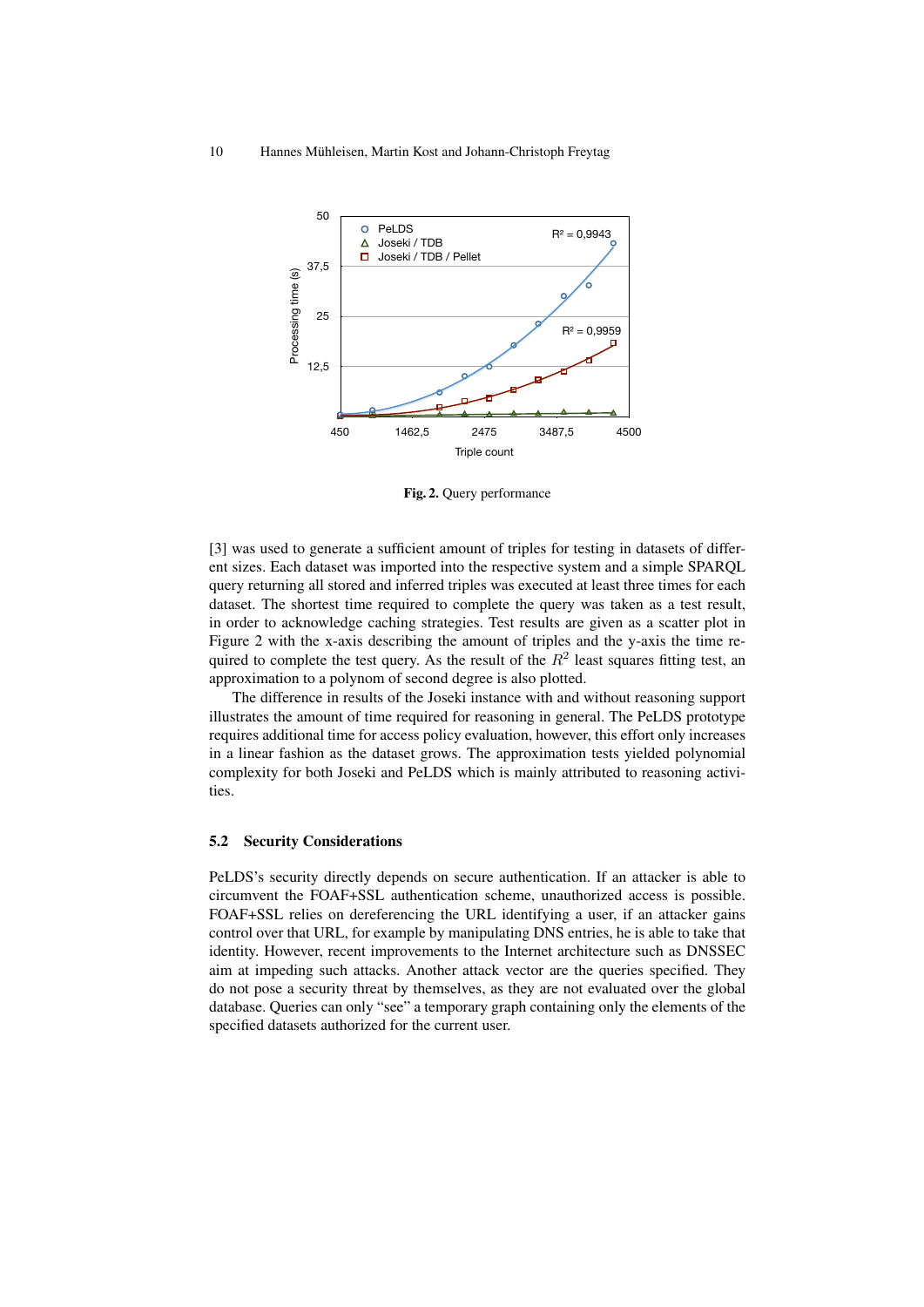

Fig. 2. Query performance

[3] was used to generate a sufficient amount of triples for testing in datasets of different sizes. Each dataset was imported into the respective system and a simple SPARQL query returning all stored and inferred triples was executed at least three times for each dataset. The shortest time required to complete the query was taken as a test result, in order to acknowledge caching strategies. Test results are given as a scatter plot in Figure 2 with the x-axis describing the amount of triples and the y-axis the time required to complete the test query. As the result of the  $R^2$  least squares fitting test, an approximation to a polynom of second degree is also plotted.

The difference in results of the Joseki instance with and without reasoning support illustrates the amount of time required for reasoning in general. The PeLDS prototype requires additional time for access policy evaluation, however, this effort only increases in a linear fashion as the dataset grows. The approximation tests yielded polynomial complexity for both Joseki and PeLDS which is mainly attributed to reasoning activities.

## 5.2 Security Considerations

PeLDS's security directly depends on secure authentication. If an attacker is able to circumvent the FOAF+SSL authentication scheme, unauthorized access is possible. FOAF+SSL relies on dereferencing the URL identifying a user, if an attacker gains control over that URL, for example by manipulating DNS entries, he is able to take that identity. However, recent improvements to the Internet architecture such as DNSSEC aim at impeding such attacks. Another attack vector are the queries specified. They do not pose a security threat by themselves, as they are not evaluated over the global database. Queries can only "see" a temporary graph containing only the elements of the specified datasets authorized for the current user.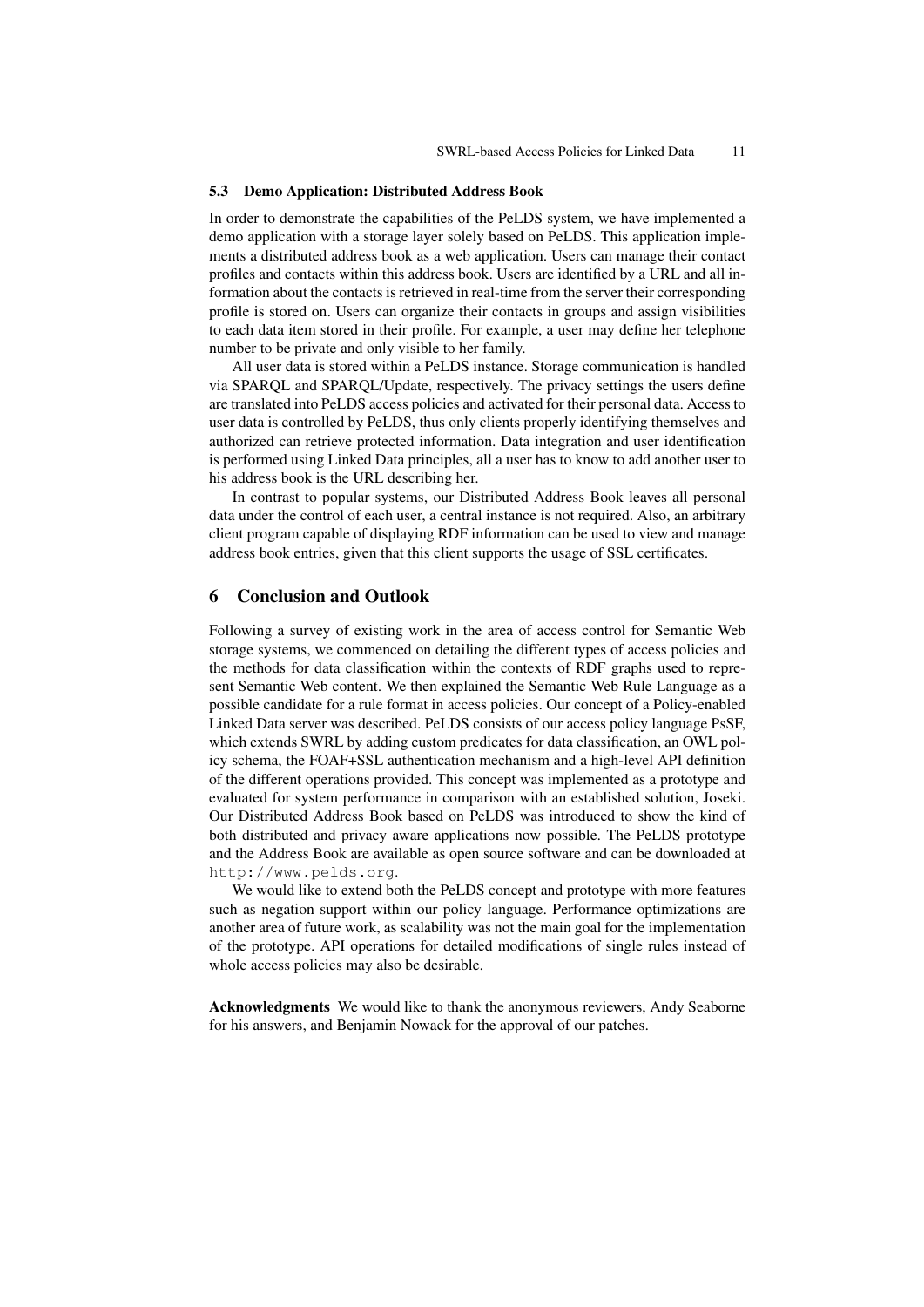#### 5.3 Demo Application: Distributed Address Book

In order to demonstrate the capabilities of the PeLDS system, we have implemented a demo application with a storage layer solely based on PeLDS. This application implements a distributed address book as a web application. Users can manage their contact profiles and contacts within this address book. Users are identified by a URL and all information about the contacts is retrieved in real-time from the server their corresponding profile is stored on. Users can organize their contacts in groups and assign visibilities to each data item stored in their profile. For example, a user may define her telephone number to be private and only visible to her family.

All user data is stored within a PeLDS instance. Storage communication is handled via SPARQL and SPARQL/Update, respectively. The privacy settings the users define are translated into PeLDS access policies and activated for their personal data. Access to user data is controlled by PeLDS, thus only clients properly identifying themselves and authorized can retrieve protected information. Data integration and user identification is performed using Linked Data principles, all a user has to know to add another user to his address book is the URL describing her.

In contrast to popular systems, our Distributed Address Book leaves all personal data under the control of each user, a central instance is not required. Also, an arbitrary client program capable of displaying RDF information can be used to view and manage address book entries, given that this client supports the usage of SSL certificates.

## 6 Conclusion and Outlook

Following a survey of existing work in the area of access control for Semantic Web storage systems, we commenced on detailing the different types of access policies and the methods for data classification within the contexts of RDF graphs used to represent Semantic Web content. We then explained the Semantic Web Rule Language as a possible candidate for a rule format in access policies. Our concept of a Policy-enabled Linked Data server was described. PeLDS consists of our access policy language PsSF, which extends SWRL by adding custom predicates for data classification, an OWL policy schema, the FOAF+SSL authentication mechanism and a high-level API definition of the different operations provided. This concept was implemented as a prototype and evaluated for system performance in comparison with an established solution, Joseki. Our Distributed Address Book based on PeLDS was introduced to show the kind of both distributed and privacy aware applications now possible. The PeLDS prototype and the Address Book are available as open source software and can be downloaded at http://www.pelds.org.

We would like to extend both the PeLDS concept and prototype with more features such as negation support within our policy language. Performance optimizations are another area of future work, as scalability was not the main goal for the implementation of the prototype. API operations for detailed modifications of single rules instead of whole access policies may also be desirable.

Acknowledgments We would like to thank the anonymous reviewers, Andy Seaborne for his answers, and Benjamin Nowack for the approval of our patches.